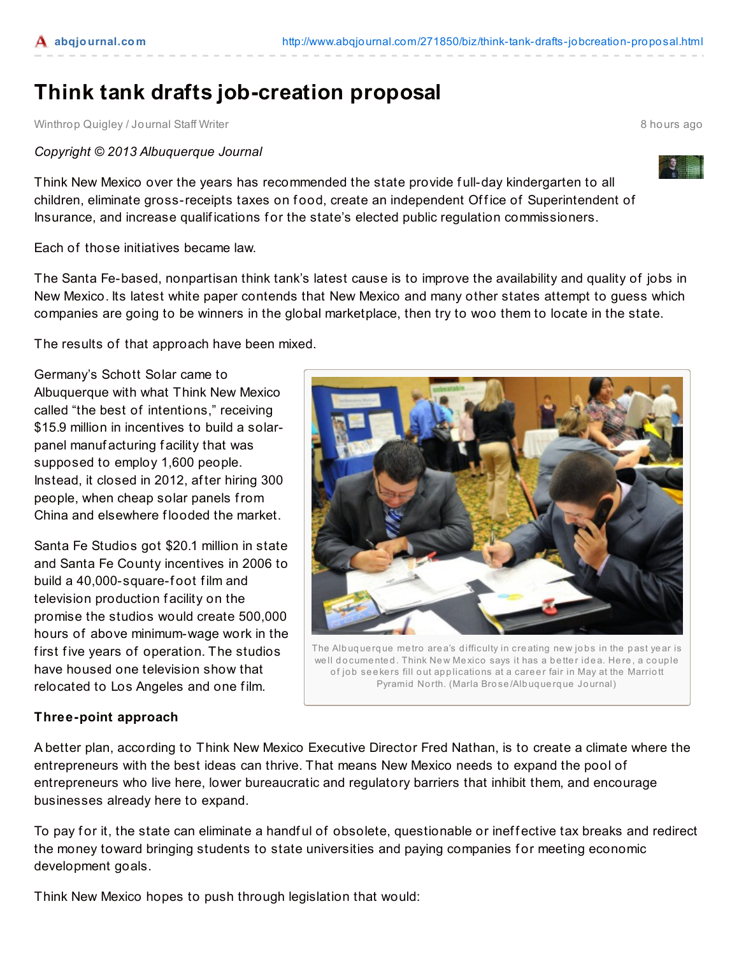## **Think tank drafts job-creation proposal**

Winthrop Quigley / Journal Staff Writer 8 hours ago

## *Copyright © 2013 Albuquerque Journal*

Think New Mexico over the years has recommended the state provide f ull-day kindergarten to all children, eliminate gross-receipts taxes on food, create an independent Office of Superintendent of Insurance, and increase qualifications for the state's elected public regulation commissioners.

Each of those initiatives became law.

The Santa Fe-based, nonpartisan think tank's latest cause is to improve the availability and quality of jobs in New Mexico. Its latest white paper contends that New Mexico and many other states attempt to guess which companies are going to be winners in the global marketplace, then try to woo them to locate in the state.

The results of that approach have been mixed.

Germany's Schott Solar came to Albuquerque with what Think New Mexico called "the best of intentions," receiving \$15.9 million in incentives to build a solarpanel manuf acturing f acility that was supposed to employ 1,600 people. Instead, it closed in 2012, af ter hiring 300 people, when cheap solar panels from China and elsewhere f looded the market.

Santa Fe Studios got \$20.1 million in state and Santa Fe County incentives in 2006 to build a 40,000-square-foot film and television production f acility on the promise the studios would create 500,000 hours of above minimum-wage work in the first five years of operation. The studios have housed one television show that relocated to Los Angeles and one f ilm.

## **Three-point approach**

A better plan, according to Think New Mexico Executive Director Fred Nathan, is to create a climate where the entrepreneurs with the best ideas can thrive. That means New Mexico needs to expand the pool of entrepreneurs who live here, lower bureaucratic and regulatory barriers that inhibit them, and encourage businesses already here to expand.

To pay for it, the state can eliminate a handful of obsolete, questionable or ineffective tax breaks and redirect the money toward bringing students to state universities and paying companies for meeting economic development goals.

Think New Mexico hopes to push through legislation that would:



of job seekers fill out applications at a career fair in May at the Marriott Pyramid North. (Marla Brose/Albuquerque Journal)

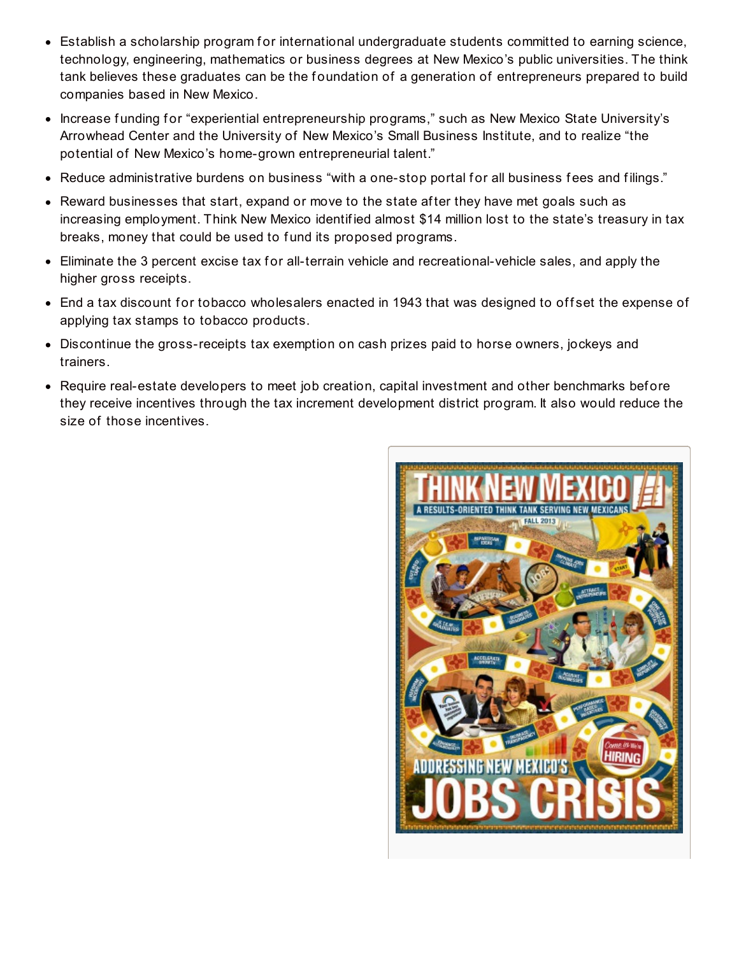- Establish a scholarship program for international undergraduate students committed to earning science, technology, engineering, mathematics or business degrees at New Mexico's public universities. The think tank believes these graduates can be the foundation of a generation of entrepreneurs prepared to build companies based in New Mexico.
- Increase funding for "experiential entrepreneurship programs," such as New Mexico State University's Arrowhead Center and the University of New Mexico's Small Business Institute, and to realize "the potential of New Mexico's home-grown entrepreneurial talent."
- Reduce administrative burdens on business "with a one-stop portal for all business fees and filings."
- Reward businesses that start, expand or move to the state after they have met goals such as increasing employment. Think New Mexico identif ied almost \$14 million lost to the state's treasury in tax breaks, money that could be used to f und its proposed programs.
- Eliminate the 3 percent excise tax for all-terrain vehicle and recreational-vehicle sales, and apply the higher gross receipts.
- End a tax discount for tobacco wholesalers enacted in 1943 that was designed to offset the expense of applying tax stamps to tobacco products.
- Discontinue the gross-receipts tax exemption on cash prizes paid to horse owners, jockeys and trainers.
- Require real-estate developers to meet job creation, capital investment and other benchmarks before they receive incentives through the tax increment development district program. It also would reduce the size of those incentives.